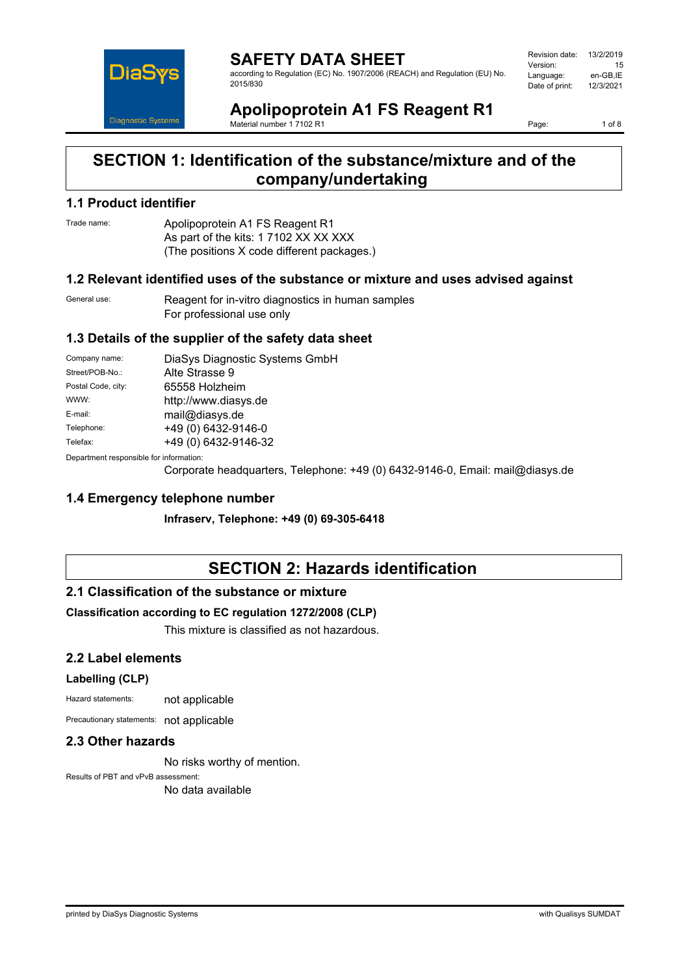

**SAFETY DATA SHEET** according to Regulation (EC) No. 1907/2006 (REACH) and Regulation (EU) No. 2015/830

Revision date: 13/2/2019 Version: 15<br>Language: en-GB.IE Language: en-GB,IE<br>Date of print: 12/3/2021 Date of print:

#### **Apolipoprotein A1 FS Reagent R1** Material number 1 7102 R1

Page: 1 of 8

# **SECTION 1: Identification of the substance/mixture and of the company/undertaking**

### **1.1 Product identifier**

Trade name: Apolipoprotein A1 FS Reagent R1 As part of the kits: 1 7102 XX XX XXX (The positions X code different packages.)

### **1.2 Relevant identified uses of the substance or mixture and uses advised against**

General use: Reagent for in-vitro diagnostics in human samples For professional use only

## **1.3 Details of the supplier of the safety data sheet**

| Company name:                            | DiaSys Diagnostic Systems GmbH |
|------------------------------------------|--------------------------------|
| Street/POB-No.:                          | Alte Strasse 9                 |
| Postal Code, city:                       | 65558 Holzheim                 |
| WWW:                                     | http://www.diasys.de           |
| E-mail:                                  | mail@diasys.de                 |
| Telephone:                               | +49 (0) 6432-9146-0            |
| Telefax:                                 | +49 (0) 6432-9146-32           |
| Denemberek vernemaikte fan informaatien: |                                |

Department responsible for information:

Corporate headquarters, Telephone: +49 (0) 6432-9146-0, Email: mail@diasys.de

### **1.4 Emergency telephone number**

**Infraserv, Telephone: +49 (0) 69-305-6418**

# **SECTION 2: Hazards identification**

### **2.1 Classification of the substance or mixture**

### **Classification according to EC regulation 1272/2008 (CLP)**

This mixture is classified as not hazardous.

### **2.2 Label elements**

#### **Labelling (CLP)**

Hazard statements: not applicable

Precautionary statements: not applicable

## **2.3 Other hazards**

No risks worthy of mention.

Results of PBT and vPvB assessment: No data available

printed by DiaSys Diagnostic Systems with Qualisys SUMDAT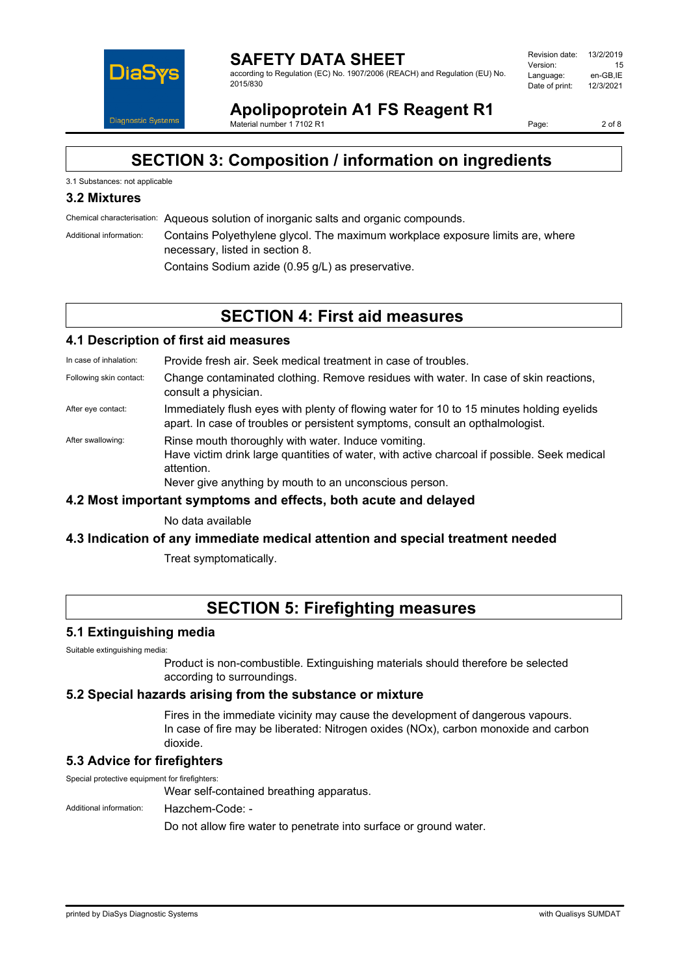

according to Regulation (EC) No. 1907/2006 (REACH) and Regulation (EU) No. 2015/830

| Revision date: | 13/2/2019 |
|----------------|-----------|
| Version:       | 15        |
| Language:      | en-GB.IE  |
| Date of print: | 12/3/2021 |
|                |           |

**Apolipoprotein A1 FS Reagent R1** Material number 17102 R1

Page: 2 of 8

# **SECTION 3: Composition / information on ingredients**

### 3.1 Substances: not applicable

# **3.2 Mixtures**

Chemical characterisation: Aqueous solution of inorganic salts and organic compounds.

Additional information: Contains Polyethylene glycol. The maximum workplace exposure limits are, where necessary, listed in section 8.

Contains Sodium azide (0.95 g/L) as preservative.

# **SECTION 4: First aid measures**

## **4.1 Description of first aid measures**

In case of inhalation: Provide fresh air. Seek medical treatment in case of troubles.

- Following skin contact: Change contaminated clothing. Remove residues with water. In case of skin reactions, consult a physician.
- After eye contact: Immediately flush eyes with plenty of flowing water for 10 to 15 minutes holding eyelids apart. In case of troubles or persistent symptoms, consult an opthalmologist.
- After swallowing: Rinse mouth thoroughly with water. Induce vomiting. Have victim drink large quantities of water, with active charcoal if possible. Seek medical attention. Never give anything by mouth to an unconscious person.

### **4.2 Most important symptoms and effects, both acute and delayed**

No data available

### **4.3 Indication of any immediate medical attention and special treatment needed**

Treat symptomatically.

# **SECTION 5: Firefighting measures**

### **5.1 Extinguishing media**

Suitable extinguishing media:

Product is non-combustible. Extinguishing materials should therefore be selected according to surroundings.

### **5.2 Special hazards arising from the substance or mixture**

Fires in the immediate vicinity may cause the development of dangerous vapours. In case of fire may be liberated: Nitrogen oxides (NOx), carbon monoxide and carbon dioxide.

# **5.3 Advice for firefighters**

Special protective equipment for firefighters:

Wear self-contained breathing apparatus.

Additional information: Hazchem-Code: -

Do not allow fire water to penetrate into surface or ground water.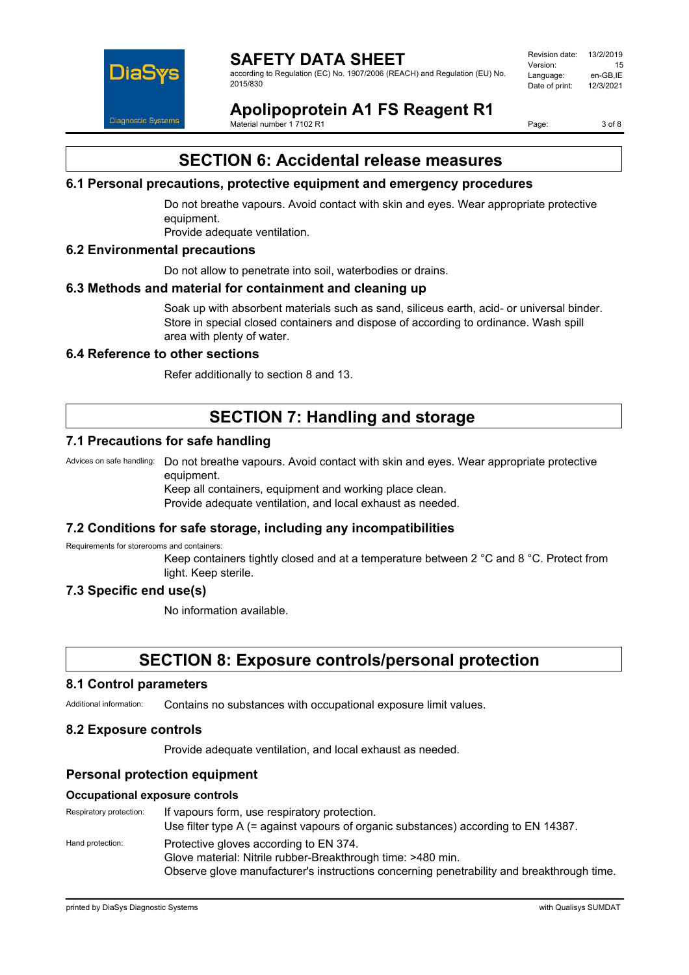

according to Regulation (EC) No. 1907/2006 (REACH) and Regulation (EU) No. 2015/830

| Revision date: | 13/2/2019 |
|----------------|-----------|
| Version:       | 15        |
| Language:      | en-GB.IE  |
| Date of print: | 12/3/2021 |
|                |           |

**Apolipoprotein A1 FS Reagent R1** Material number 17102 R1

Page: 3 of 8

# **SECTION 6: Accidental release measures**

## **6.1 Personal precautions, protective equipment and emergency procedures**

Do not breathe vapours. Avoid contact with skin and eyes. Wear appropriate protective equipment.

Provide adequate ventilation.

## **6.2 Environmental precautions**

Do not allow to penetrate into soil, waterbodies or drains.

### **6.3 Methods and material for containment and cleaning up**

Soak up with absorbent materials such as sand, siliceus earth, acid- or universal binder. Store in special closed containers and dispose of according to ordinance. Wash spill area with plenty of water.

#### **6.4 Reference to other sections**

Refer additionally to section 8 and 13.

# **SECTION 7: Handling and storage**

### **7.1 Precautions for safe handling**

Advices on safe handling: Do not breathe vapours. Avoid contact with skin and eyes. Wear appropriate protective equipment.

Keep all containers, equipment and working place clean. Provide adequate ventilation, and local exhaust as needed.

### **7.2 Conditions for safe storage, including any incompatibilities**

Requirements for storerooms and containers:

Keep containers tightly closed and at a temperature between 2 °C and 8 °C. Protect from light. Keep sterile.

### **7.3 Specific end use(s)**

No information available.

# **SECTION 8: Exposure controls/personal protection**

#### **8.1 Control parameters**

Additional information: Contains no substances with occupational exposure limit values.

#### **8.2 Exposure controls**

Provide adequate ventilation, and local exhaust as needed.

### **Personal protection equipment**

#### **Occupational exposure controls**

Respiratory protection: If vapours form, use respiratory protection. Use filter type A (= against vapours of organic substances) according to EN 14387. Hand protection: Protective gloves according to EN 374. Glove material: Nitrile rubber-Breakthrough time: >480 min. Observe glove manufacturer's instructions concerning penetrability and breakthrough time.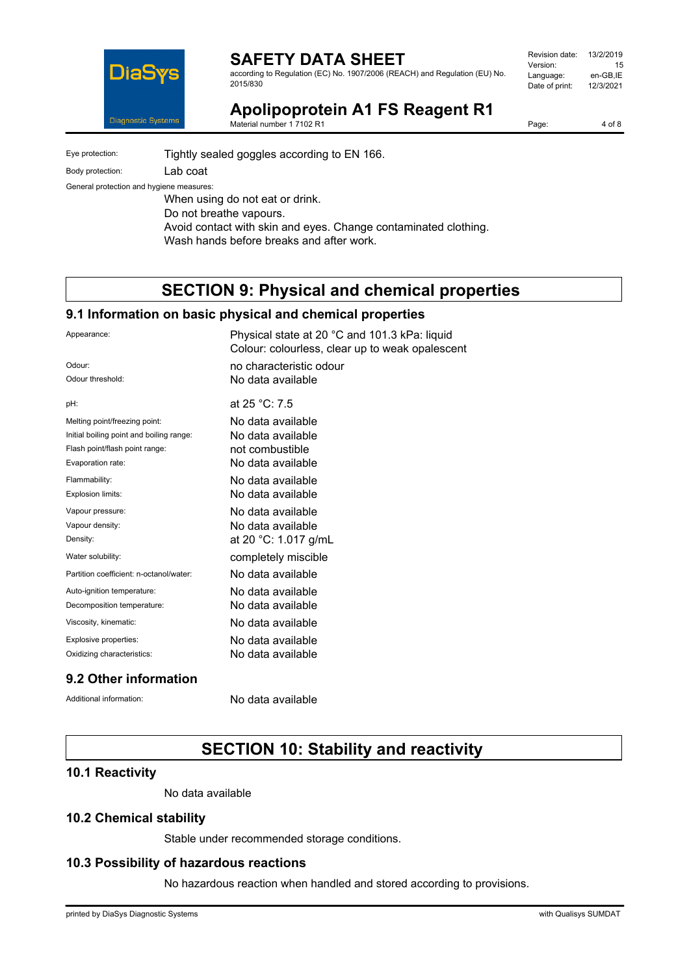

according to Regulation (EC) No. 1907/2006 (REACH) and Regulation (EU) No. 2015/830

| Revision date: | 13/2/2019 |
|----------------|-----------|
| Version:       | 15        |
| Language:      | en-GB,IE  |
| Date of print: | 12/3/2021 |
|                |           |

**Apolipoprotein A1 FS Reagent R1**

Material number 1 7102 R1

Page: 4 of 8

Eye protection: Tightly sealed goggles according to EN 166. Body protection: Lab coat

General protection and hygiene measures:

When using do not eat or drink. Do not breathe vapours. Avoid contact with skin and eyes. Change contaminated clothing. Wash hands before breaks and after work.

# **SECTION 9: Physical and chemical properties**

# **9.1 Information on basic physical and chemical properties**

| Appearance:                              | Physical state at 20 °C and 101.3 kPa: liquid<br>Colour: colourless, clear up to weak opalescent |
|------------------------------------------|--------------------------------------------------------------------------------------------------|
| Odour:                                   | no characteristic odour                                                                          |
| Odour threshold:                         | No data available                                                                                |
| pH:                                      | at 25 °C: 7.5                                                                                    |
| Melting point/freezing point:            | No data available                                                                                |
| Initial boiling point and boiling range: | No data available                                                                                |
| Flash point/flash point range:           | not combustible                                                                                  |
| Evaporation rate:                        | No data available                                                                                |
| Flammability:                            | No data available                                                                                |
| Explosion limits:                        | No data available                                                                                |
| Vapour pressure:                         | No data available                                                                                |
| Vapour density:                          | No data available                                                                                |
| Density:                                 | at 20 °C: 1.017 g/mL                                                                             |
| Water solubility:                        | completely miscible                                                                              |
| Partition coefficient: n-octanol/water:  | No data available                                                                                |
| Auto-ignition temperature:               | No data available                                                                                |
| Decomposition temperature:               | No data available                                                                                |
| Viscosity, kinematic:                    | No data available                                                                                |
| Explosive properties:                    | No data available                                                                                |
| Oxidizing characteristics:               | No data available                                                                                |
|                                          |                                                                                                  |

# **9.2 Other information**

Additional information: No data available

# **SECTION 10: Stability and reactivity**

### **10.1 Reactivity**

No data available

# **10.2 Chemical stability**

Stable under recommended storage conditions.

### **10.3 Possibility of hazardous reactions**

No hazardous reaction when handled and stored according to provisions.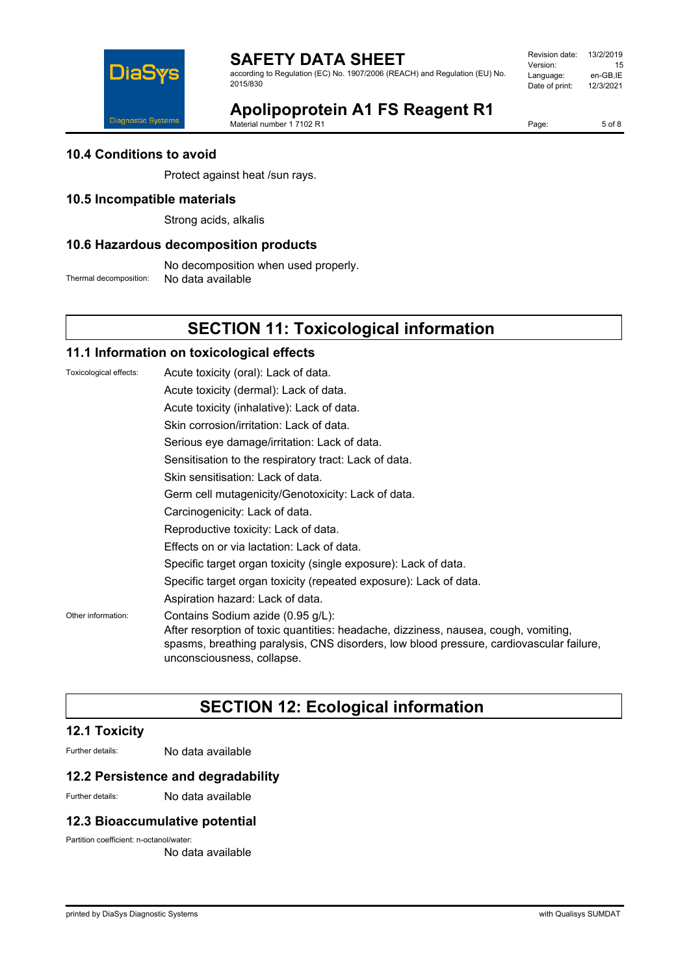

according to Regulation (EC) No. 1907/2006 (REACH) and Regulation (EU) No. 2015/830

Revision date: 13/2/2019 Version: 15<br>Language: en-GB,IE Language: en-GB,IE<br>Date of print: 12/3/2021 Date of print:



**Apolipoprotein A1 FS Reagent R1**

Material number 1 7102 R1

Page: 5 of 8

### **10.4 Conditions to avoid**

Protect against heat /sun rays.

### **10.5 Incompatible materials**

Strong acids, alkalis

#### **10.6 Hazardous decomposition products**

No decomposition when used properly. Thermal decomposition: No data available

# **SECTION 11: Toxicological information**

### **11.1 Information on toxicological effects**

| Toxicological effects: | Acute toxicity (oral): Lack of data.                                                                                                                                                                                                              |
|------------------------|---------------------------------------------------------------------------------------------------------------------------------------------------------------------------------------------------------------------------------------------------|
|                        | Acute toxicity (dermal): Lack of data.                                                                                                                                                                                                            |
|                        | Acute toxicity (inhalative): Lack of data.                                                                                                                                                                                                        |
|                        | Skin corrosion/irritation: Lack of data.                                                                                                                                                                                                          |
|                        | Serious eye damage/irritation: Lack of data.                                                                                                                                                                                                      |
|                        | Sensitisation to the respiratory tract: Lack of data.                                                                                                                                                                                             |
|                        | Skin sensitisation: Lack of data.                                                                                                                                                                                                                 |
|                        | Germ cell mutagenicity/Genotoxicity: Lack of data.                                                                                                                                                                                                |
|                        | Carcinogenicity: Lack of data.                                                                                                                                                                                                                    |
|                        | Reproductive toxicity: Lack of data.                                                                                                                                                                                                              |
|                        | Effects on or via lactation: Lack of data.                                                                                                                                                                                                        |
|                        | Specific target organ toxicity (single exposure): Lack of data.                                                                                                                                                                                   |
|                        | Specific target organ toxicity (repeated exposure): Lack of data.                                                                                                                                                                                 |
|                        | Aspiration hazard: Lack of data.                                                                                                                                                                                                                  |
| Other information:     | Contains Sodium azide (0.95 g/L):<br>After resorption of toxic quantities: headache, dizziness, nausea, cough, vomiting,<br>spasms, breathing paralysis, CNS disorders, low blood pressure, cardiovascular failure,<br>unconsciousness, collapse. |

# **SECTION 12: Ecological information**

### **12.1 Toxicity**

Further details: No data available

### **12.2 Persistence and degradability**

Further details: No data available

### **12.3 Bioaccumulative potential**

Partition coefficient: n-octanol/water:

No data available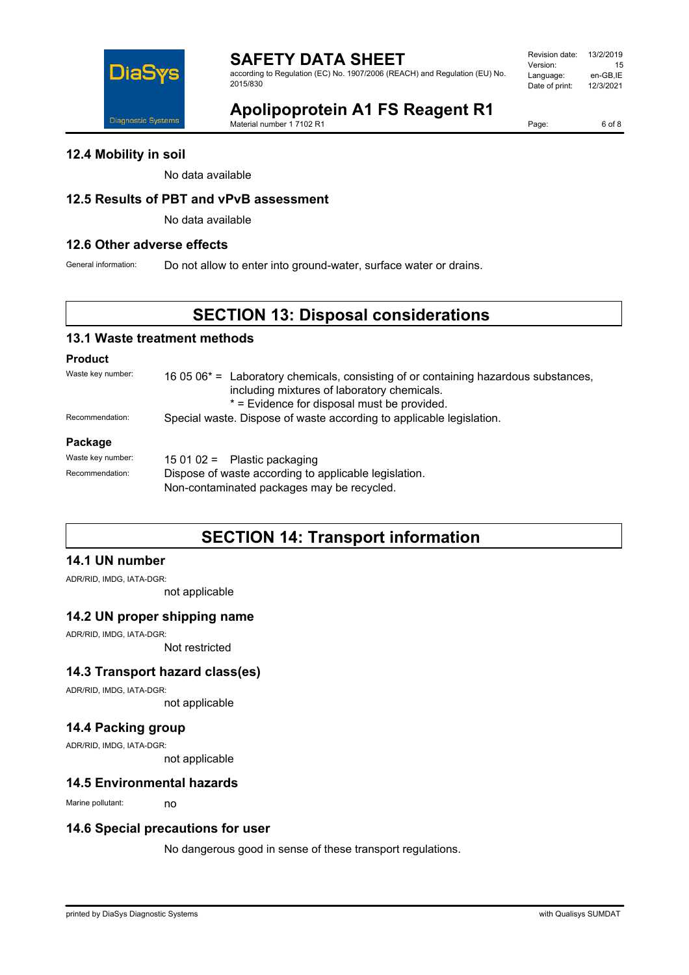

according to Regulation (EC) No. 1907/2006 (REACH) and Regulation (EU) No. 2015/830

| Revision date: | 13/2/2019 |
|----------------|-----------|
| Version:       | 15        |
| Language:      | en-GB.IE  |
| Date of print: | 12/3/2021 |
|                |           |

# **Apolipoprotein A1 FS Reagent R1**

Material number 1 7102 R1

Page: 6 of 8

**12.4 Mobility in soil**

No data available

# **12.5 Results of PBT and vPvB assessment**

No data available

# **12.6 Other adverse effects**

General information: Do not allow to enter into ground-water, surface water or drains.

# **SECTION 13: Disposal considerations**

# **13.1 Waste treatment methods**

# **Product**

Waste key number: 16 05 06<sup>\*</sup> = Laboratory chemicals, consisting of or containing hazardous substances, including mixtures of laboratory chemicals. \* = Evidence for disposal must be provided. Recommendation: Special waste. Dispose of waste according to applicable legislation.

#### **Package**

| Waste key number: | 15 01 02 = Plastic packaging                          |  |
|-------------------|-------------------------------------------------------|--|
| Recommendation:   | Dispose of waste according to applicable legislation. |  |
|                   | Non-contaminated packages may be recycled.            |  |

# **SECTION 14: Transport information**

### **14.1 UN number**

ADR/RID, IMDG, IATA-DGR:

not applicable

# **14.2 UN proper shipping name**

ADR/RID, IMDG, IATA-DGR:

Not restricted

# **14.3 Transport hazard class(es)**

ADR/RID, IMDG, IATA-DGR:

not applicable

### **14.4 Packing group**

ADR/RID, IMDG, IATA-DGR:

not applicable

### **14.5 Environmental hazards**

Marine pollutant: no

# **14.6 Special precautions for user**

No dangerous good in sense of these transport regulations.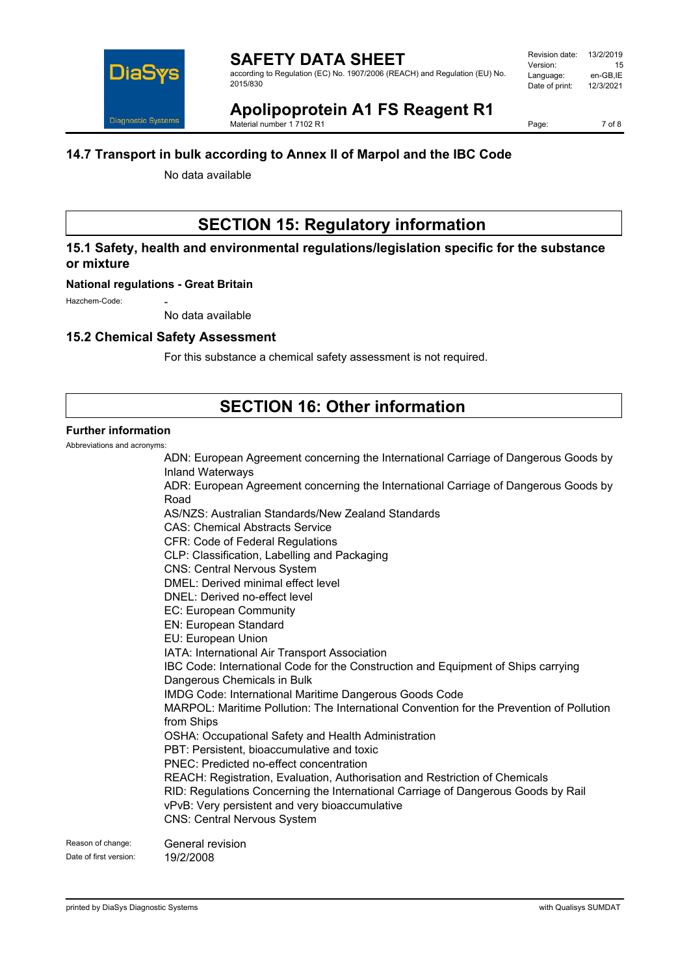

according to Regulation (EC) No. 1907/2006 (REACH) and Regulation (EU) No. 2015/830

# **Apolipoprotein A1 FS Reagent R1**

Material number 1 7102 R1

Page: 7 of 8

# **14.7 Transport in bulk according to Annex II of Marpol and the IBC Code**

No data available

# **SECTION 15: Regulatory information**

# **15.1 Safety, health and environmental regulations/legislation specific for the substance or mixture**

### **National regulations - Great Britain**

Hazchem-Code:

No data available

# **15.2 Chemical Safety Assessment**

For this substance a chemical safety assessment is not required.

# **SECTION 16: Other information**

# **Further information**

Abbreviations and acronyms:

|                        | ADN: European Agreement concerning the International Carriage of Dangerous Goods by<br><b>Inland Waterways</b> |
|------------------------|----------------------------------------------------------------------------------------------------------------|
|                        | ADR: European Agreement concerning the International Carriage of Dangerous Goods by                            |
|                        | Road                                                                                                           |
|                        | AS/NZS: Australian Standards/New Zealand Standards                                                             |
|                        | <b>CAS: Chemical Abstracts Service</b>                                                                         |
|                        | <b>CFR: Code of Federal Regulations</b>                                                                        |
|                        | CLP: Classification, Labelling and Packaging                                                                   |
|                        | <b>CNS: Central Nervous System</b>                                                                             |
|                        | DMEL: Derived minimal effect level                                                                             |
|                        | DNEL: Derived no-effect level                                                                                  |
|                        | EC: European Community                                                                                         |
|                        | <b>EN: European Standard</b>                                                                                   |
|                        | EU: European Union                                                                                             |
|                        | IATA: International Air Transport Association                                                                  |
|                        | IBC Code: International Code for the Construction and Equipment of Ships carrying                              |
|                        | Dangerous Chemicals in Bulk                                                                                    |
|                        | IMDG Code: International Maritime Dangerous Goods Code                                                         |
|                        | MARPOL: Maritime Pollution: The International Convention for the Prevention of Pollution                       |
|                        | from Ships                                                                                                     |
|                        | OSHA: Occupational Safety and Health Administration                                                            |
|                        | PBT: Persistent, bioaccumulative and toxic                                                                     |
|                        | PNEC: Predicted no-effect concentration                                                                        |
|                        | REACH: Registration, Evaluation, Authorisation and Restriction of Chemicals                                    |
|                        | RID: Regulations Concerning the International Carriage of Dangerous Goods by Rail                              |
|                        | vPvB: Very persistent and very bioaccumulative                                                                 |
|                        | <b>CNS: Central Nervous System</b>                                                                             |
| Reason of change:      | General revision                                                                                               |
| Date of first version: | 19/2/2008                                                                                                      |